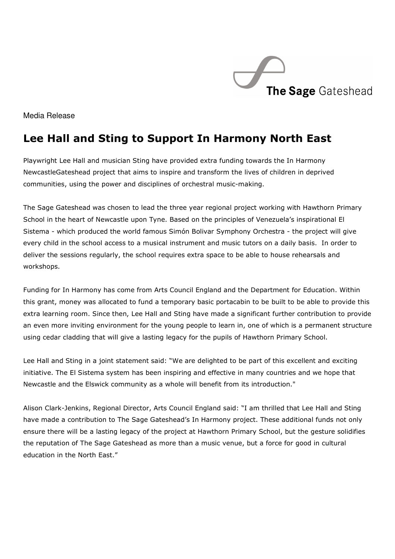

Media Release

## Lee Hall and Sting to Support In Harmony North East

Playwright Lee Hall and musician Sting have provided extra funding towards the In Harmony NewcastleGateshead project that aims to inspire and transform the lives of children in deprived communities, using the power and disciplines of orchestral music-making.

The Sage Gateshead was chosen to lead the three year regional project working with Hawthorn Primary School in the heart of Newcastle upon Tyne. Based on the principles of Venezuela's inspirational El Sistema - which produced the world famous Simón Bolivar Symphony Orchestra - the project will give every child in the school access to a musical instrument and music tutors on a daily basis. In order to deliver the sessions regularly, the school requires extra space to be able to house rehearsals and workshops.

Funding for In Harmony has come from Arts Council England and the Department for Education. Within this grant, money was allocated to fund a temporary basic portacabin to be built to be able to provide this extra learning room. Since then, Lee Hall and Sting have made a significant further contribution to provide an even more inviting environment for the young people to learn in, one of which is a permanent structure using cedar cladding that will give a lasting legacy for the pupils of Hawthorn Primary School.

Lee Hall and Sting in a joint statement said: "We are delighted to be part of this excellent and exciting initiative. The El Sistema system has been inspiring and effective in many countries and we hope that Newcastle and the Elswick community as a whole will benefit from its introduction."

Alison Clark-Jenkins, Regional Director, Arts Council England said: "I am thrilled that Lee Hall and Sting have made a contribution to The Sage Gateshead's In Harmony project. These additional funds not only ensure there will be a lasting legacy of the project at Hawthorn Primary School, but the gesture solidifies the reputation of The Sage Gateshead as more than a music venue, but a force for good in cultural education in the North East."